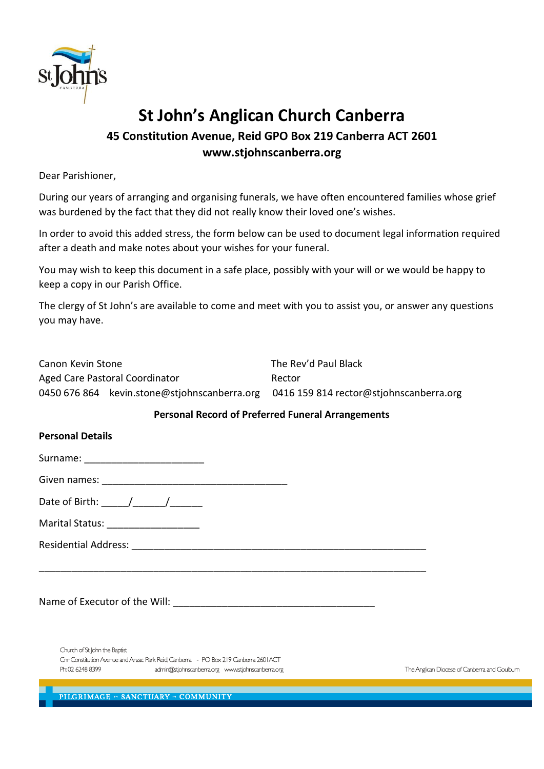

# **St John's Anglican Church Canberra**

### **45 Constitution Avenue, Reid GPO Box 219 Canberra ACT 2601 www.stjohnscanberra.org**

Dear Parishioner,

During our years of arranging and organising funerals, we have often encountered families whose grief was burdened by the fact that they did not really know their loved one's wishes.

In order to avoid this added stress, the form below can be used to document legal information required after a death and make notes about your wishes for your funeral.

You may wish to keep this document in a safe place, possibly with your will or we would be happy to keep a copy in our Parish Office.

The clergy of St John's are available to come and meet with you to assist you, or answer any questions you may have.

| Canon Kevin Stone |                                              | The Rev'd Paul Black                    |  |  |
|-------------------|----------------------------------------------|-----------------------------------------|--|--|
|                   | Aged Care Pastoral Coordinator               | Rector                                  |  |  |
|                   | 0450 676 864 kevin.stone@stjohnscanberra.org | 0416 159 814 rector@stjohnscanberra.org |  |  |

\_\_\_\_\_\_\_\_\_\_\_\_\_\_\_\_\_\_\_\_\_\_\_\_\_\_\_\_\_\_\_\_\_\_\_\_\_\_\_\_\_\_\_\_\_\_\_\_\_\_\_\_\_\_\_\_\_\_\_\_\_\_\_\_\_\_\_\_\_\_\_

#### **Personal Record of Preferred Funeral Arrangements**

#### **Personal Details**

Surname: \_\_\_\_\_\_\_\_\_\_\_\_\_\_\_\_\_\_\_\_\_\_

Given names: \_\_\_\_\_\_\_\_\_\_\_\_\_\_\_\_\_\_\_\_\_\_\_\_\_\_\_\_\_\_\_\_\_\_

Date of Birth: \_\_\_\_\_/\_\_\_\_\_\_/\_\_\_\_\_\_

Marital Status: \_\_\_\_\_\_\_\_\_\_\_\_\_\_\_\_\_

Residential Address: \_\_\_\_\_\_\_\_\_\_\_\_\_\_\_\_\_\_\_\_\_\_\_\_\_\_\_\_\_\_\_\_\_\_\_\_\_\_\_\_\_\_\_\_\_\_\_\_\_\_\_\_\_\_

Name of Executor of the Will:  $\Box$ 

Church of St John the Baptist Cnr Constitution Avenue and Anzac Park Reid, Canberra - PO Box 219 Canberra 2601 ACT Ph: 02 6248 8399 admin@stjohnscanberra.org www.stjohnscanberra.org

The Anglican Diocese of Canberra and Goulbum

PILGRIMAGE - SANCTUARY - COMMUNITY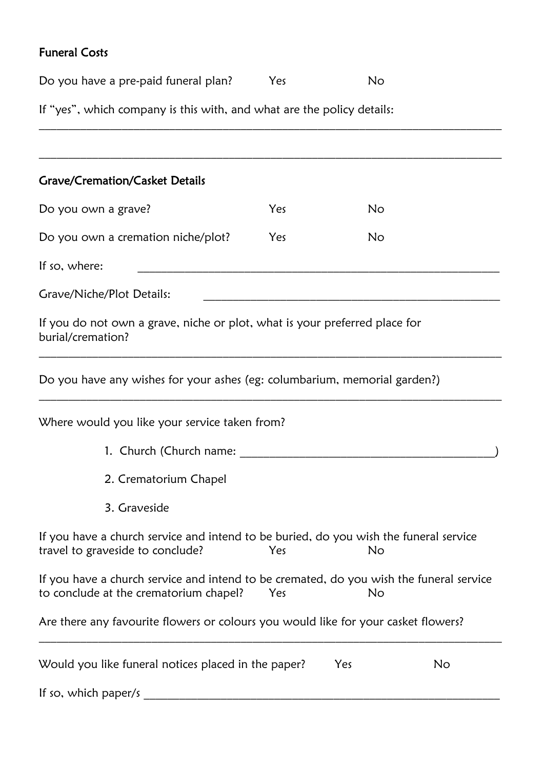## Funeral Costs

| Do you have a pre-paid funeral plan?                                                                                              | Yes | <b>No</b> |    |
|-----------------------------------------------------------------------------------------------------------------------------------|-----|-----------|----|
| If "yes", which company is this with, and what are the policy details:                                                            |     |           |    |
|                                                                                                                                   |     |           |    |
| <b>Grave/Cremation/Casket Details</b>                                                                                             |     |           |    |
| Do you own a grave?                                                                                                               | Yes | No        |    |
| Do you own a cremation niche/plot?                                                                                                | Yes | <b>No</b> |    |
| If so, where:                                                                                                                     |     |           |    |
| Grave/Niche/Plot Details:                                                                                                         |     |           |    |
| If you do not own a grave, niche or plot, what is your preferred place for<br>burial/cremation?                                   |     |           |    |
| Do you have any wishes for your ashes (eg: columbarium, memorial garden?)                                                         |     |           |    |
| Where would you like your service taken from?                                                                                     |     |           |    |
| 1. Church (Church name:                                                                                                           |     |           |    |
| 2. Crematorium Chapel                                                                                                             |     |           |    |
| 3. Graveside                                                                                                                      |     |           |    |
| If you have a church service and intend to be buried, do you wish the funeral service<br>travel to graveside to conclude?         | Yes | No        |    |
| If you have a church service and intend to be cremated, do you wish the funeral service<br>to conclude at the crematorium chapel? | Yes | No        |    |
| Are there any favourite flowers or colours you would like for your casket flowers?                                                |     |           |    |
| Would you like funeral notices placed in the paper?                                                                               |     | Yes       | No |
| If so, which paper/s                                                                                                              |     |           |    |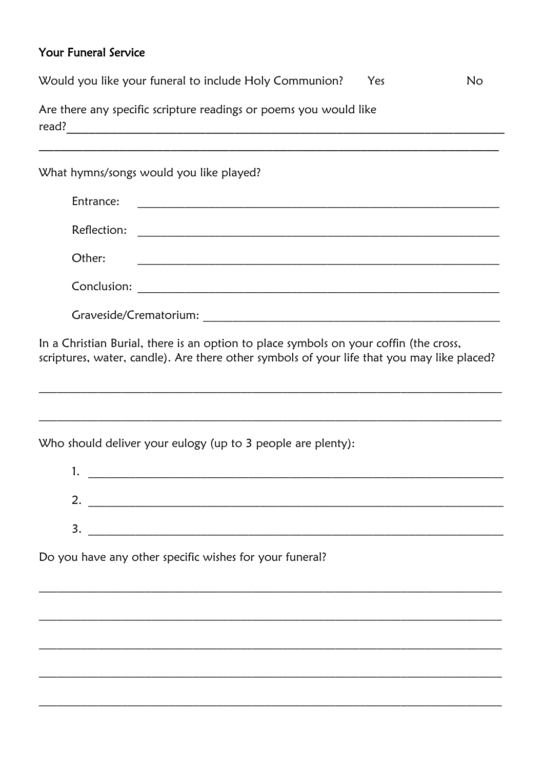### Your Funeral Service

| Would you like your funeral to include Holy Communion?<br>No<br>Yes                   |  |  |
|---------------------------------------------------------------------------------------|--|--|
| Are there any specific scripture readings or poems you would like                     |  |  |
|                                                                                       |  |  |
| What hymns/songs would you like played?                                               |  |  |
| Entrance:                                                                             |  |  |
| Reflection:                                                                           |  |  |
| Other:                                                                                |  |  |
|                                                                                       |  |  |
|                                                                                       |  |  |
| In a Christian Burial, there is an option to place symbols on your coffin (the cross, |  |  |

scriptures, water, candle). Are there other symbols of your life that you may like placed?

Who should deliver your eulogy (up to 3 people are plenty):

| ι.       |  |
|----------|--|
|          |  |
| ⌒<br>. ے |  |
|          |  |
| 3.       |  |
|          |  |

Do you have any other specific wishes for your funeral?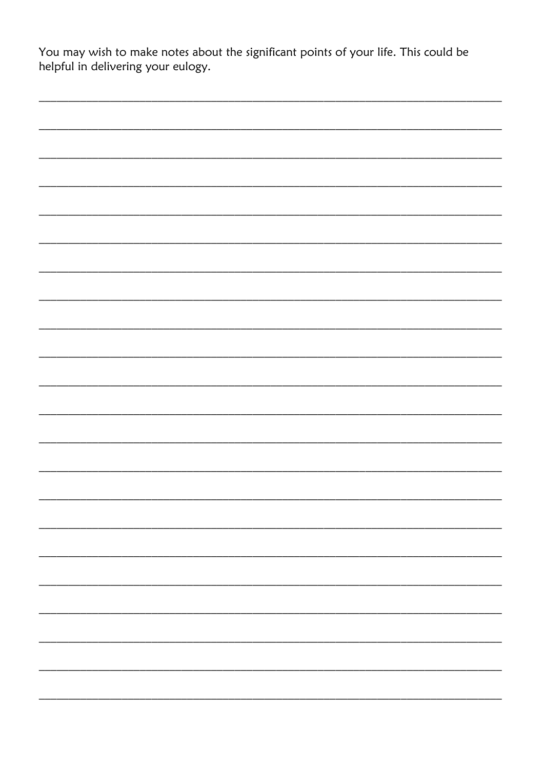You may wish to make notes about the significant points of your life. This could be helpful in delivering your eulogy.

|  | - |
|--|---|